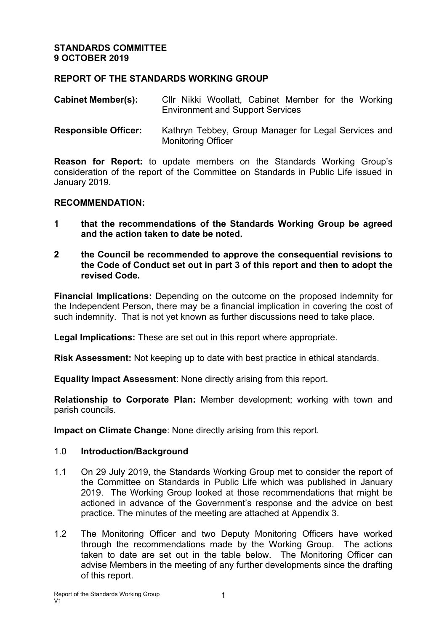## **REPORT OF THE STANDARDS WORKING GROUP**

| <b>Cabinet Member(s):</b> |                                         |  | CIIr Nikki Woollatt, Cabinet Member for the Working |  |  |  |  |  |
|---------------------------|-----------------------------------------|--|-----------------------------------------------------|--|--|--|--|--|
|                           | <b>Environment and Support Services</b> |  |                                                     |  |  |  |  |  |

**Responsible Officer:** Kathryn Tebbey, Group Manager for Legal Services and Monitoring Officer

**Reason for Report:** to update members on the Standards Working Group's consideration of the report of the Committee on Standards in Public Life issued in January 2019.

#### **RECOMMENDATION:**

- **1 that the recommendations of the Standards Working Group be agreed and the action taken to date be noted.**
- **2 the Council be recommended to approve the consequential revisions to the Code of Conduct set out in part 3 of this report and then to adopt the revised Code.**

**Financial Implications:** Depending on the outcome on the proposed indemnity for the Independent Person, there may be a financial implication in covering the cost of such indemnity. That is not yet known as further discussions need to take place.

**Legal Implications:** These are set out in this report where appropriate.

**Risk Assessment:** Not keeping up to date with best practice in ethical standards.

**Equality Impact Assessment**: None directly arising from this report.

**Relationship to Corporate Plan:** Member development; working with town and parish councils.

**Impact on Climate Change**: None directly arising from this report.

#### 1.0 **Introduction/Background**

- 1.1 On 29 July 2019, the Standards Working Group met to consider the report of the Committee on Standards in Public Life which was published in January 2019. The Working Group looked at those recommendations that might be actioned in advance of the Government's response and the advice on best practice. The minutes of the meeting are attached at Appendix 3.
- 1.2 The Monitoring Officer and two Deputy Monitoring Officers have worked through the recommendations made by the Working Group. The actions taken to date are set out in the table below. The Monitoring Officer can advise Members in the meeting of any further developments since the drafting of this report.